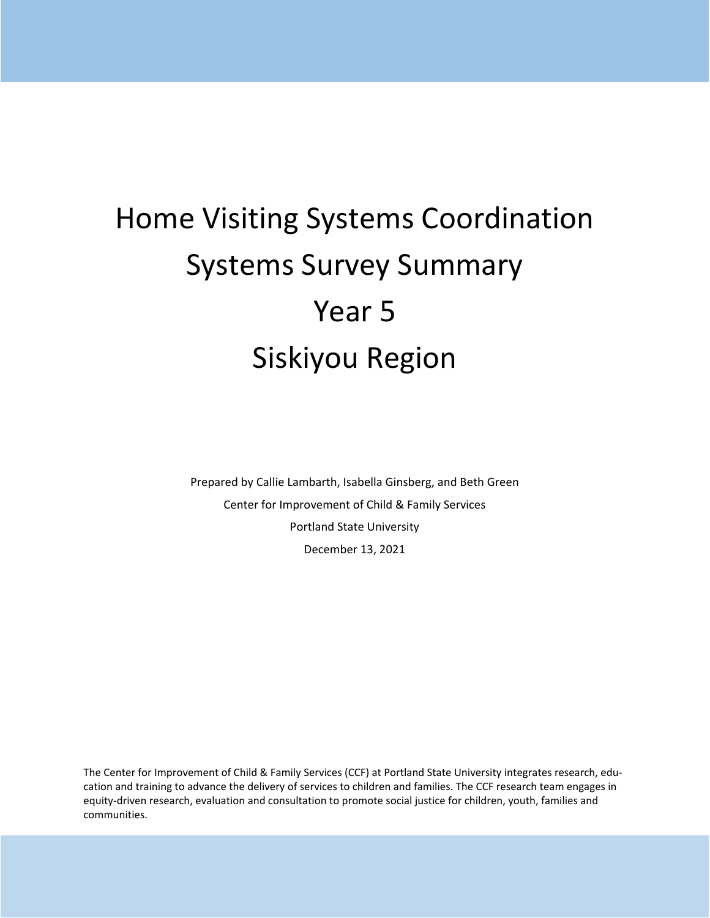# Home Visiting Systems Coordination Systems Survey Summary Year 5 Siskiyou Region

Prepared by Callie Lambarth, Isabella Ginsberg, and Beth Green Center for Improvement of Child & Family Services Portland State University December 13, 2021

The Center for Improvement of Child & Family Services (CCF) at Portland State University integrates research, education and training to advance the delivery of services to children and families. The CCF research team engages in equity-driven research, evaluation and consultation to promote social justice for children, youth, families and communities.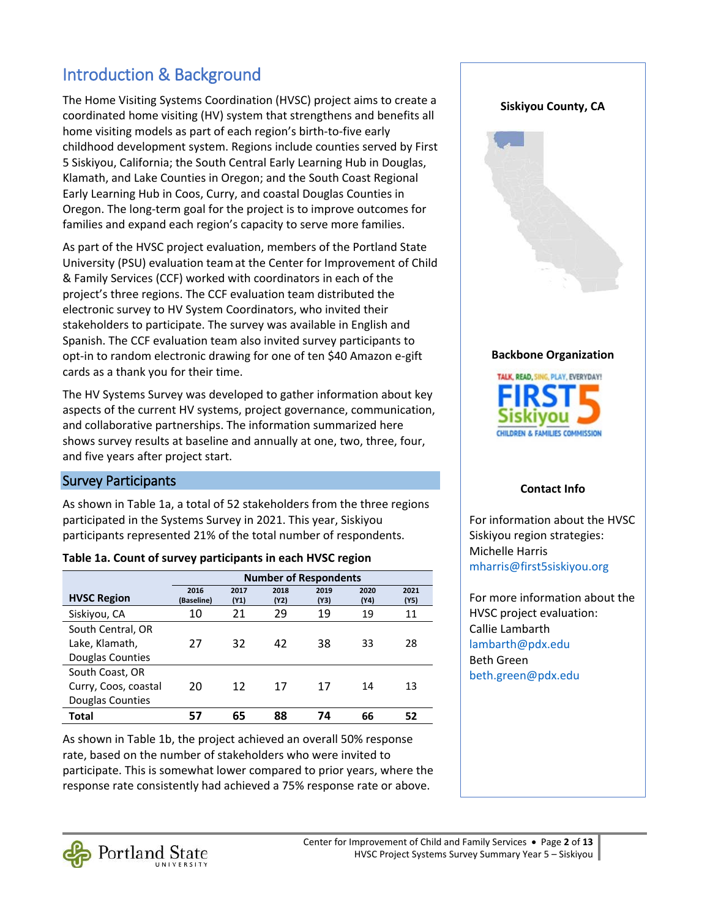# Introduction & Background

The Home Visiting Systems Coordination (HVSC) project aims to create a coordinated home visiting (HV) system that strengthens and benefits all home visiting models as part of each region's birth-to-five early childhood development system. Regions include counties served by First 5 Siskiyou, California; the South Central Early Learning Hub in Douglas, Klamath, and Lake Counties in Oregon; and the South Coast Regional Early Learning Hub in Coos, Curry, and coastal Douglas Counties in Oregon. The long-term goal for the project is to improve outcomes for families and expand each region's capacity to serve more families.

As part of the HVSC project evaluation, members of the Portland State University (PSU) evaluation teamat the Center for Improvement of Child & Family Services (CCF) worked with coordinators in each of the project's three regions. The CCF evaluation team distributed the electronic survey to HV System Coordinators, who invited their stakeholders to participate. The survey was available in English and Spanish. The CCF evaluation team also invited survey participants to opt-in to random electronic drawing for one of ten \$40 Amazon e-gift cards as a thank you for their time.

The HV Systems Survey was developed to gather information about key aspects of the current HV systems, project governance, communication, and collaborative partnerships. The information summarized here shows survey results at baseline and annually at one, two, three, four, and five years after project start.

#### Survey Participants

As shown in Table 1a, a total of 52 stakeholders from the three regions participated in the Systems Survey in 2021. This year, Siskiyou participants represented 21% of the total number of respondents.

#### **Table 1a. Count of survey participants in each HVSC region**

|                      | <b>Number of Respondents</b> |              |              |              |              |              |  |  |  |
|----------------------|------------------------------|--------------|--------------|--------------|--------------|--------------|--|--|--|
| <b>HVSC Region</b>   | 2016<br>(Baseline)           | 2017<br>(Y1) | 2018<br>(Y2) | 2019<br>(Y3) | 2020<br>(Y4) | 2021<br>(Y5) |  |  |  |
| Siskiyou, CA         | 10                           | 21           | 29           | 19           | 19           | 11           |  |  |  |
| South Central, OR    |                              |              |              |              |              |              |  |  |  |
| Lake, Klamath,       | 27                           | 32           | 42           | 38           | 33           | 28           |  |  |  |
| Douglas Counties     |                              |              |              |              |              |              |  |  |  |
| South Coast, OR      |                              |              |              |              |              |              |  |  |  |
| Curry, Coos, coastal | 20                           | 12           | 17           | 17           | 14           | 13           |  |  |  |
| Douglas Counties     |                              |              |              |              |              |              |  |  |  |
| Total                | 57                           | 65           | 88           | 74           | 66           | 52           |  |  |  |

As shown in Table 1b, the project achieved an overall 50% response rate, based on the number of stakeholders who were invited to participate. This is somewhat lower compared to prior years, where the response rate consistently had achieved a 75% response rate or above.



HILDREN & FAMILIES COMMISSION

#### **Contact Info**

For information about the HVSC Siskiyou region strategies: Michelle Harris [mharris@first5siskiyou.org](mailto:mharris@first5siskiyou.org) 

For more information about the HVSC project evaluation: Callie Lambarth [lambarth@pdx.edu](mailto:lambarth@pdx.edu) Beth Green [beth.green@pdx.edu](mailto:beth.green@pdx.edu) 

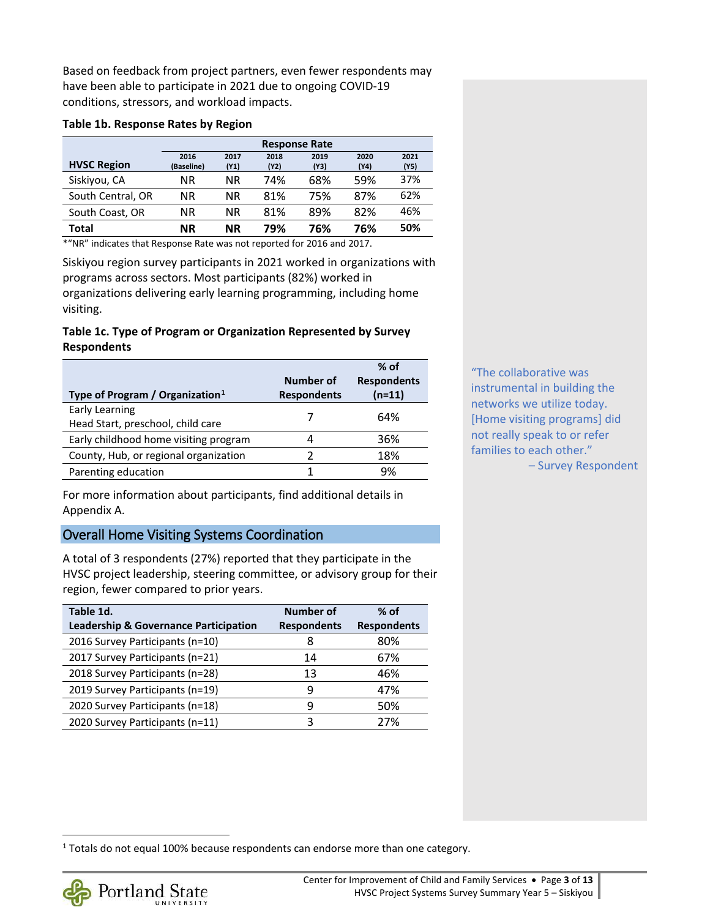Based on feedback from project partners, even fewer respondents may have been able to participate in 2021 due to ongoing COVID-19 conditions, stressors, and workload impacts.

#### **Table 1b. Response Rates by Region**

|                    | <b>Response Rate</b> |              |              |              |              |              |
|--------------------|----------------------|--------------|--------------|--------------|--------------|--------------|
| <b>HVSC Region</b> | 2016<br>(Baseline)   | 2017<br>(Y1) | 2018<br>(Y2) | 2019<br>(Y3) | 2020<br>(Y4) | 2021<br>(Y5) |
| Siskiyou, CA       | ΝR                   | ΝR           | 74%          | 68%          | 59%          | 37%          |
| South Central, OR  | ΝR                   | ΝR           | 81%          | 75%          | 87%          | 62%          |
| South Coast, OR    | ΝR                   | ΝR           | 81%          | 89%          | 82%          | 46%          |
| Total              | ΝR                   | <b>NR</b>    | 79%          | 76%          | 76%          | 50%          |

'NR" indicates that Response Rate was not reported for 2016 and 2017.

Siskiyou region survey participants in 2021 worked in organizations with programs across sectors. Most participants (82%) worked in organizations delivering early learning programming, including home visiting.

#### **Table 1c. Type of Program or Organization Represented by Survey Respondents**

| Type of Program / Organization $1$                  | Number of<br><b>Respondents</b> | $%$ of<br><b>Respondents</b><br>(n=11) |
|-----------------------------------------------------|---------------------------------|----------------------------------------|
| Early Learning<br>Head Start, preschool, child care |                                 | 64%                                    |
| Early childhood home visiting program               |                                 | 36%                                    |
| County, Hub, or regional organization               | 7                               | 18%                                    |
| Parenting education                                 |                                 | 9%                                     |

For more information about participants, find additional details in Appendix A.

#### Overall Home Visiting Systems Coordination

A total of 3 respondents (27%) reported that they participate in the HVSC project leadership, steering committee, or advisory group for their region, fewer compared to prior years.

| Table 1d.<br>Leadership & Governance Participation | Number of<br><b>Respondents</b> | $%$ of<br><b>Respondents</b> |
|----------------------------------------------------|---------------------------------|------------------------------|
| 2016 Survey Participants (n=10)                    | 8                               | 80%                          |
| 2017 Survey Participants (n=21)                    | 14                              | 67%                          |
| 2018 Survey Participants (n=28)                    | 13                              | 46%                          |
| 2019 Survey Participants (n=19)                    | q                               | 47%                          |
| 2020 Survey Participants (n=18)                    | q                               | 50%                          |
| 2020 Survey Participants (n=11)                    | 3                               | 27%                          |

"The collaborative was instrumental in building the networks we utilize today. [Home visiting programs] did not really speak to or refer families to each other." – Survey Respondent

<span id="page-2-0"></span><sup>&</sup>lt;sup>1</sup> Totals do not equal 100% because respondents can endorse more than one category.

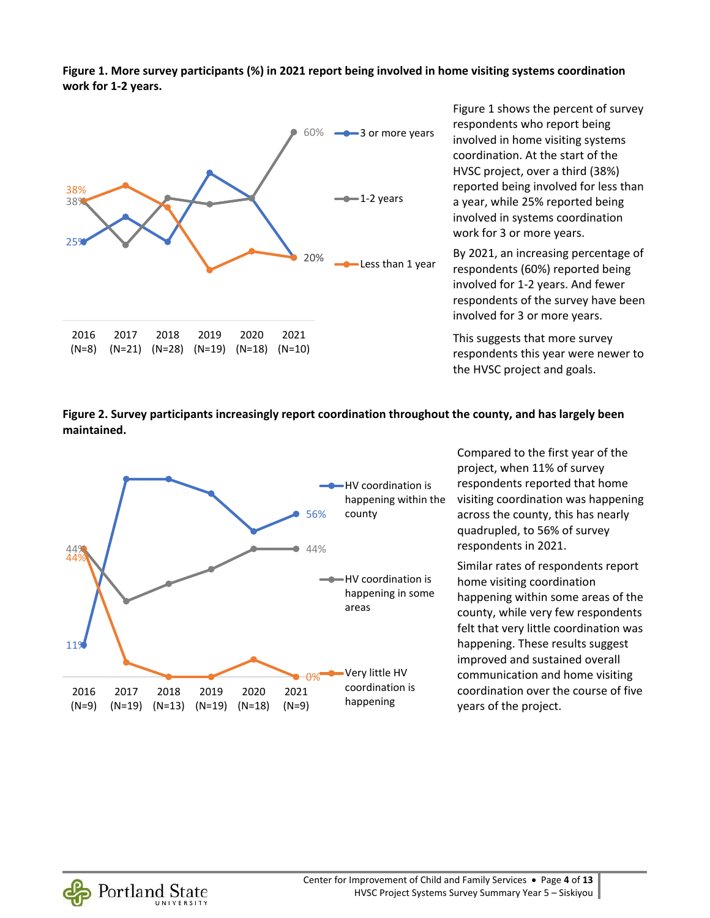**Figure 1. More survey participants (%) in 2021 report being involved in home visiting systems coordination work for 1-2 years.** 



Figure 1 shows the percent of survey respondents who report being involved in home visiting systems coordination. At the start of the HVSC project, over a third (38%) reported being involved for less than a year, while 25% reported being involved in systems coordination work for 3 or more years.

By 2021, an increasing percentage of respondents (60%) reported being involved for 1-2 years. And fewer respondents of the survey have been involved for 3 or more years.

This suggests that more survey respondents this year were newer to the HVSC project and goals.

**Figure 2. Survey participants increasingly report coordination throughout the county, and has largely been maintained.** 



Compared to the first year of the project, when 11% of survey respondents reported that home visiting coordination was happening across the county, this has nearly quadrupled, to 56% of survey respondents in 2021.

Similar rates of respondents report home visiting coordination happening within some areas of the county, while very few respondents felt that very little coordination was happening. These results suggest improved and sustained overall communication and home visiting coordination over the course of five years of the project.

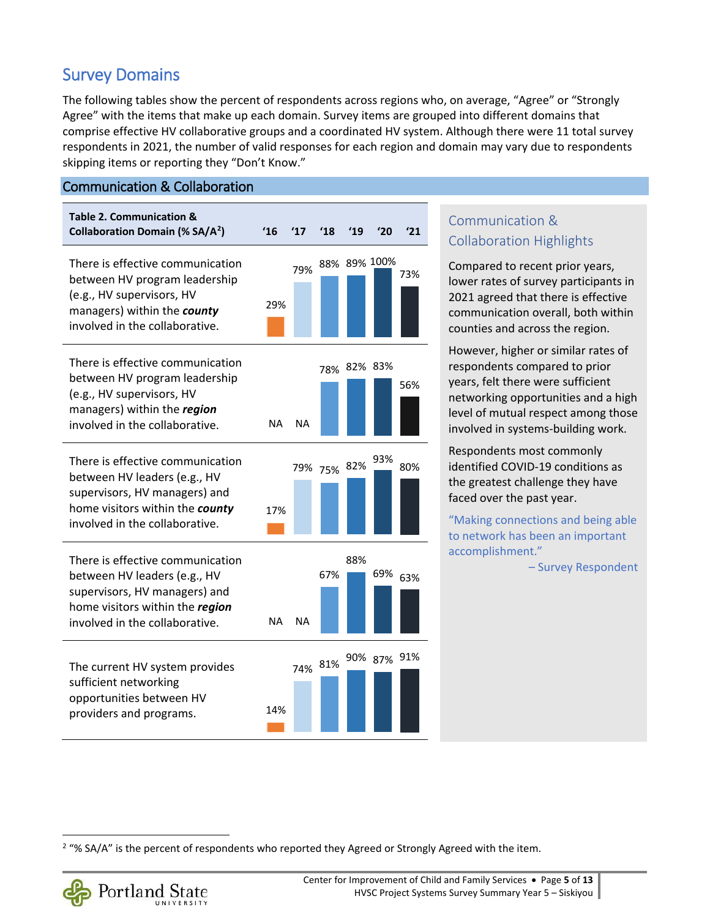# Survey Domains

The following tables show the percent of respondents across regions who, on average, "Agree" or "Strongly Agree" with the items that make up each domain. Survey items are grouped into different domains that comprise effective HV collaborative groups and a coordinated HV system. Although there were 11 total survey respondents in 2021, the number of valid responses for each region and domain may vary due to respondents skipping items or reporting they "Don't Know."

#### Communication & Collaboration

| Table 2. Communication &<br><b>Collaboration Domain (% SA/A<sup>2</sup>)</b>                                                                                           | $^{\prime}16$ | $^{\prime}17$ | $^{\prime}18$       | '19          | '20 | $^{\prime}21$ |
|------------------------------------------------------------------------------------------------------------------------------------------------------------------------|---------------|---------------|---------------------|--------------|-----|---------------|
| There is effective communication<br>between HV program leadership<br>(e.g., HV supervisors, HV<br>managers) within the county<br>involved in the collaborative.        | 29%           | 79%           |                     | 88% 89% 100% |     | 73%           |
| There is effective communication<br>between HV program leadership<br>(e.g., HV supervisors, HV<br>managers) within the region<br>involved in the collaborative.        | NA            | NA.           |                     | 78% 82% 83%  |     | 56%           |
| There is effective communication<br>between HV leaders (e.g., HV<br>supervisors, HV managers) and<br>home visitors within the county<br>involved in the collaborative. | 17%           |               | 79% 75% 82%         |              | 93% | 80%           |
| There is effective communication<br>between HV leaders (e.g., HV<br>supervisors, HV managers) and<br>home visitors within the region<br>involved in the collaborative. | NA            | NA.           | 67%                 | 88%          |     | 69% 63%       |
| The current HV system provides<br>sufficient networking<br>opportunities between HV<br>providers and programs.                                                         | 14%           |               | 74% 81% 90% 87% 91% |              |     |               |

#### Communication & Collaboration Highlights

Compared to recent prior years, lower rates of survey participants in 2021 agreed that there is effective communication overall, both within counties and across the region.

However, higher or similar rates of respondents compared to prior years, felt there were sufficient networking opportunities and a high level of mutual respect among those involved in systems-building work.

Respondents most commonly identified COVID-19 conditions as the greatest challenge they have faced over the past year.

"Making connections and being able to network has been an important accomplishment."

– Survey Respondent

<span id="page-4-0"></span> $\overline{a}$ <sup>2</sup> "% SA/A" is the percent of respondents who reported they Agreed or Strongly Agreed with the item.

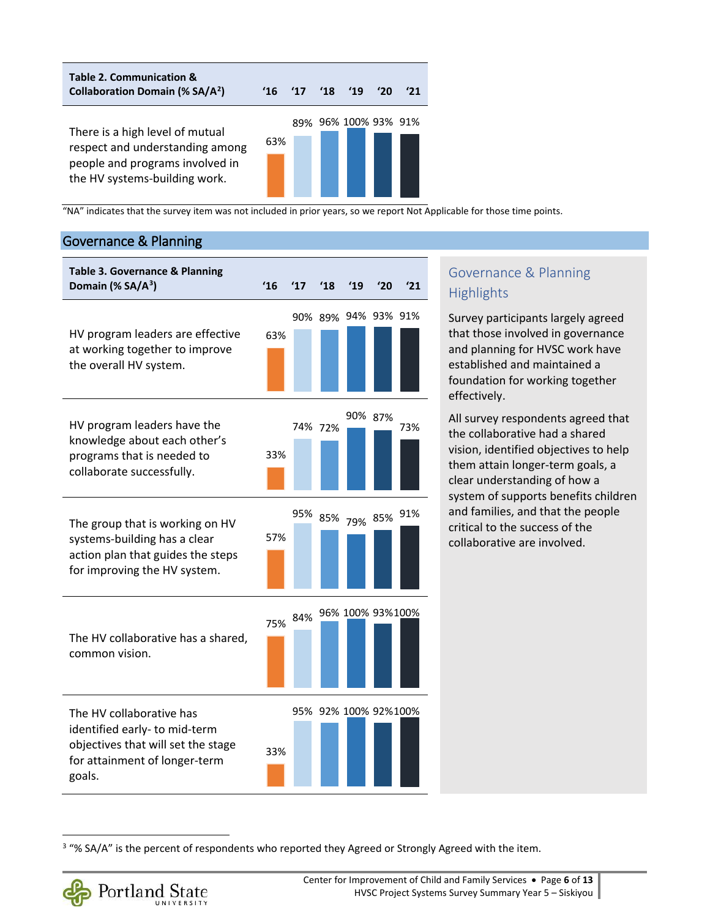**Table 2. Communication & Collaboration Domain (% SA/A[2](#page-4-0) ) '16 '17 '18 '19 '20 '21**  There is a high level of mutual respect and understanding among people and programs involved in the HV systems-building work. 63% 89% 96% 100% 93% 91%

"NA" indicates that the survey item was not included in prior years, so we report Not Applicable for those time points.

#### Governance & Planning



#### Governance & Planning **Highlights**

Survey participants largely agreed that those involved in governance and planning for HVSC work have established and maintained a foundation for working together effectively.

All survey respondents agreed that the collaborative had a shared vision, identified objectives to help them attain longer-term goals, a clear understanding of how a system of supports benefits children and families, and that the people critical to the success of the collaborative are involved.

<span id="page-5-0"></span><sup>&</sup>lt;sup>3</sup> "% SA/A" is the percent of respondents who reported they Agreed or Strongly Agreed with the item.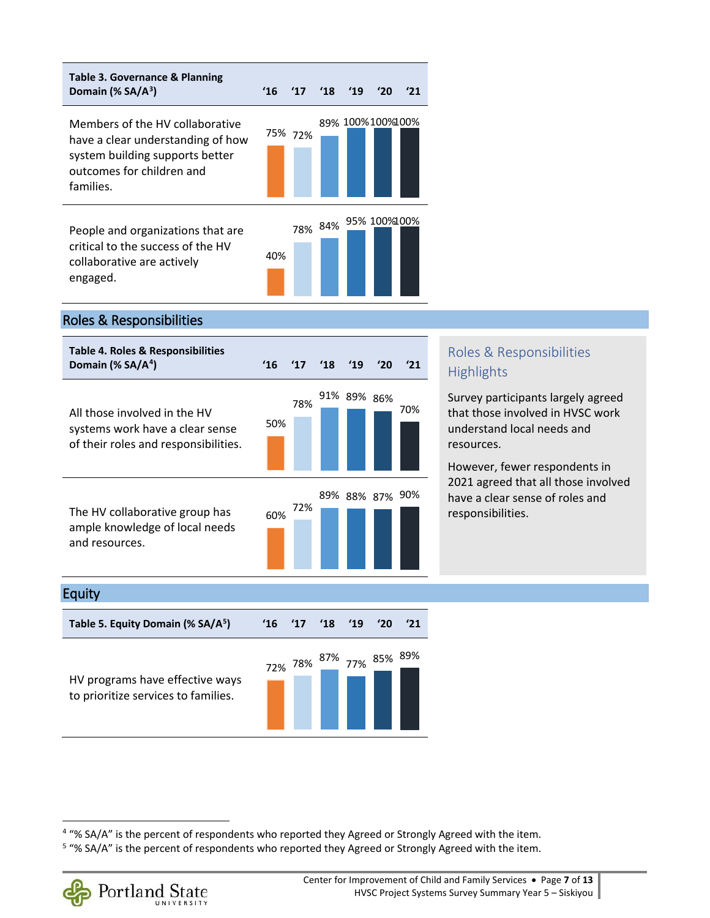

#### Roles & Responsibilities

| Table 4. Roles & Responsibilities<br>Domain (% $SA/A4$ )                                                | $^{\prime}16$ | $^{\prime}17$ | $^{\prime}18$ | 19          | '20 |     |
|---------------------------------------------------------------------------------------------------------|---------------|---------------|---------------|-------------|-----|-----|
| All those involved in the HV<br>systems work have a clear sense<br>of their roles and responsibilities. | 50%           | 78%           |               | 91% 89% 86% |     | 70% |
| The HV collaborative group has<br>ample knowledge of local needs<br>and resources.                      | 60%           | 72%           |               | 89% 88% 87% |     | 90% |

### Roles & Responsibilities **Highlights**

Survey participants largely agreed that those involved in HVSC work understand local needs and resources.

However, fewer respondents in 2021 agreed that all those involved have a clear sense of roles and responsibilities.

#### Equity

 $\overline{\phantom{0}}$ 

| Table 5. Equity Domain (% SA/A <sup>5</sup> )                          | $'16$ $'17$ | $^{\prime}18$ | '19 | '20 |  |
|------------------------------------------------------------------------|-------------|---------------|-----|-----|--|
| HV programs have effective ways<br>to prioritize services to families. |             |               |     |     |  |

<span id="page-6-1"></span><sup>&</sup>lt;sup>5</sup> "% SA/A" is the percent of respondents who reported they Agreed or Strongly Agreed with the item.



<span id="page-6-0"></span><sup>&</sup>lt;sup>4</sup> "% SA/A" is the percent of respondents who reported they Agreed or Strongly Agreed with the item.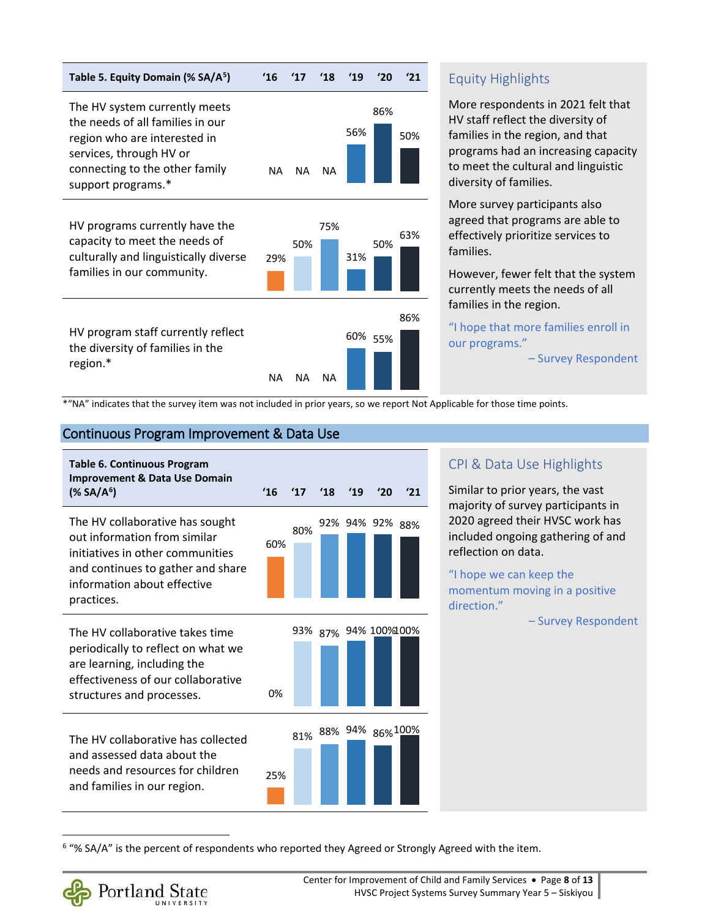

#### Equity Highlights

More respondents in 2021 felt that HV staff reflect the diversity of families in the region, and that programs had an increasing capacity to meet the cultural and linguistic diversity of families.

More survey participants also agreed that programs are able to effectively prioritize services to families.

However, fewer felt that the system currently meets the needs of all families in the region.

"I hope that more families enroll in our programs."

– Survey Respondent

\*"NA" indicates that the survey item was not included in prior years, so we report Not Applicable for those time points.

#### Continuous Program Improvement & Data Use

| <b>Table 6. Continuous Program</b>                                                                   |     |               |               |     |                      |     | CPI & Dat                                 |
|------------------------------------------------------------------------------------------------------|-----|---------------|---------------|-----|----------------------|-----|-------------------------------------------|
| <b>Improvement &amp; Data Use Domain</b><br>$(*$ SA/A <sup>6</sup> )                                 | '16 | $^{\prime}17$ | $^{\prime}18$ | '19 | '20                  | 121 | Similar to p<br>majority of               |
| The HV collaborative has sought<br>out information from similar<br>initiatives in other communities  | 60% | 80%           |               |     | 92% 94% 92%          | 88% | 2020 agree<br>included or<br>reflection o |
| and continues to gather and share<br>information about effective<br>practices.                       |     |               |               |     |                      |     | "I hope we<br>momentum<br>direction."     |
| The HV collaborative takes time<br>periodically to reflect on what we<br>are learning, including the |     |               |               |     | 93% 87% 94% 100%100% |     |                                           |
| effectiveness of our collaborative<br>structures and processes.                                      | 0%  |               |               |     |                      |     |                                           |
| The HV collaborative has collected<br>and assessed data about the                                    |     |               |               |     | 81% 88% 94% 86% 100% |     |                                           |
| needs and resources for children<br>and families in our region.                                      | 25% |               |               |     |                      |     |                                           |

#### a Use Highlights

rior years, the vast survey participants in d their HVSC work has ingoing gathering of and on data.

can keep the n moving in a positive

– Survey Respondent

<span id="page-7-0"></span><sup>6</sup> "% SA/A" is the percent of respondents who reported they Agreed or Strongly Agreed with the item.

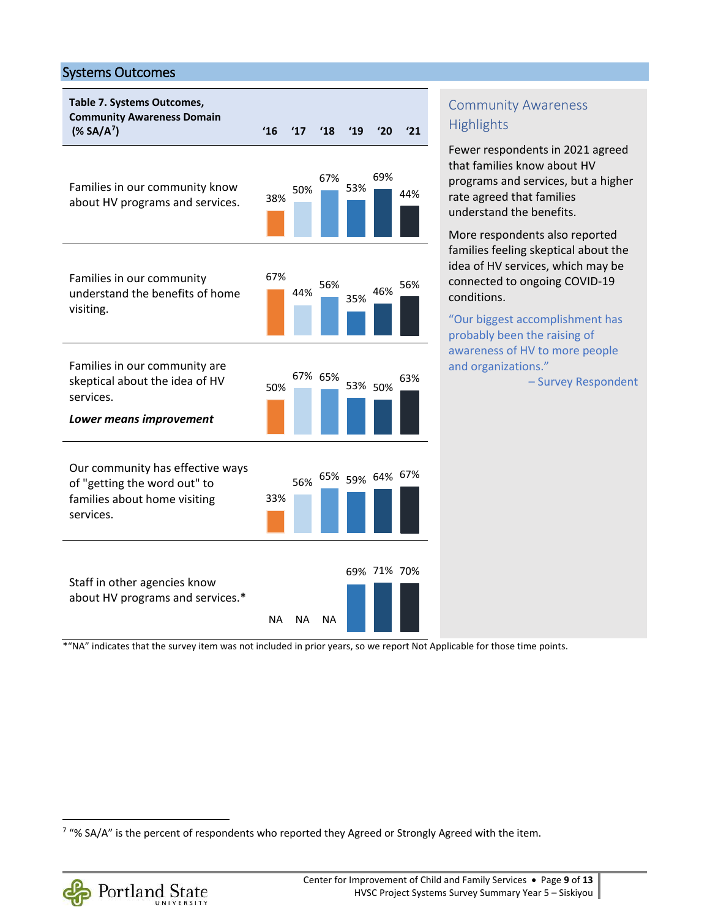#### Systems Outcomes



Community Awareness **Highlights** 

Fewer respondents in 2021 agreed that families know about HV programs and services, but a higher rate agreed that families understand the benefits.

More respondents also reported families feeling skeptical about the idea of HV services, which may be connected to ongoing COVID-19 conditions.

"Our biggest accomplishment has probably been the raising of awareness of HV to more people and organizations."

– Survey Respondent

\*"NA" indicates that the survey item was not included in prior years, so we report Not Applicable for those time points.

<span id="page-8-0"></span><sup>&</sup>lt;sup>7</sup> "% SA/A" is the percent of respondents who reported they Agreed or Strongly Agreed with the item.

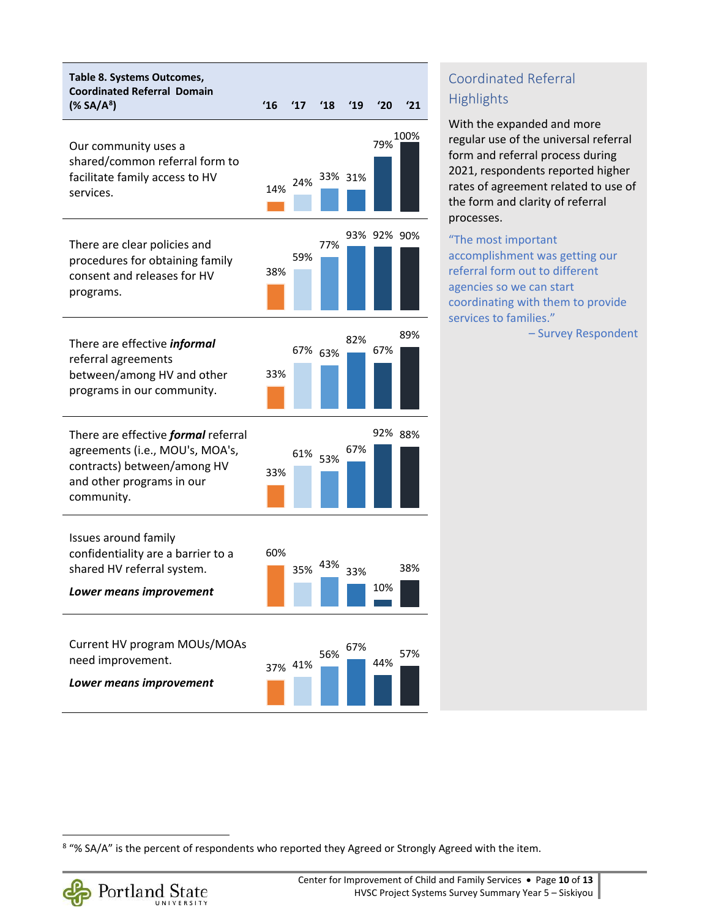

# Coordinated Referral **Highlights**

With the expanded and more regular use of the universal referral form and referral process during 2021, respondents reported higher rates of agreement related to use of the form and clarity of referral processes.

#### "The most important accomplishment was getting our referral form out to different agencies so we can start coordinating with them to provide services to families."

– Survey Respondent

<span id="page-9-0"></span><sup>&</sup>lt;sup>8</sup> "% SA/A" is the percent of respondents who reported they Agreed or Strongly Agreed with the item.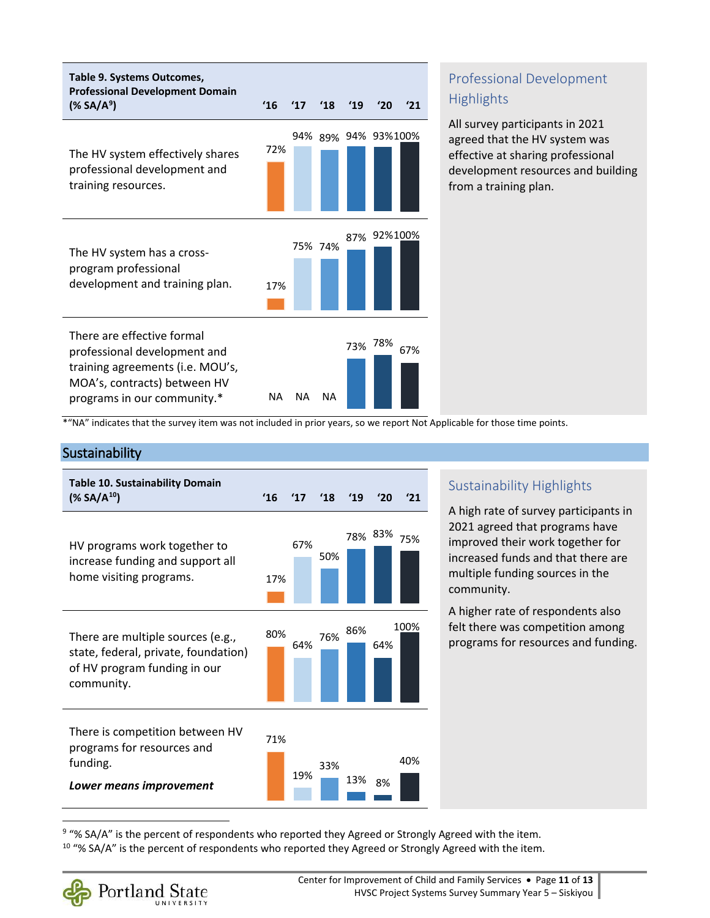

## Professional Development **Highlights**

All survey participants in 2021 agreed that the HV system was effective at sharing professional development resources and building from a training plan.

\*"NA" indicates that the survey item was not included in prior years, so we report Not Applicable for those time points.

#### **Sustainability**

| <b>Table 10. Sustainability Domain</b><br>$(*$ SA/A <sup>10</sup> )                                                     | 16  | 17' | '18 | '19 | '20<br>'21     |
|-------------------------------------------------------------------------------------------------------------------------|-----|-----|-----|-----|----------------|
| HV programs work together to<br>increase funding and support all<br>home visiting programs.                             | 17% | 67% | 50% |     | 78% 83%<br>75% |
| There are multiple sources (e.g.,<br>state, federal, private, foundation)<br>of HV program funding in our<br>community. | 80% | 64% | 76% | 86% | 100%<br>64%    |
| There is competition between HV<br>programs for resources and<br>funding.<br>Lower means improvement                    | 71% | 19% | 33% | 13% | 40%<br>8%      |

#### Sustainability Highlights

A high rate of survey participants in 2021 agreed that programs have improved their work together for increased funds and that there are multiple funding sources in the community.

A higher rate of respondents also felt there was competition among programs for resources and funding.

<span id="page-10-1"></span><span id="page-10-0"></span><sup>9</sup> "% SA/A" is the percent of respondents who reported they Agreed or Strongly Agreed with the item.  $10$  "% SA/A" is the percent of respondents who reported they Agreed or Strongly Agreed with the item.



 $\overline{\phantom{0}}$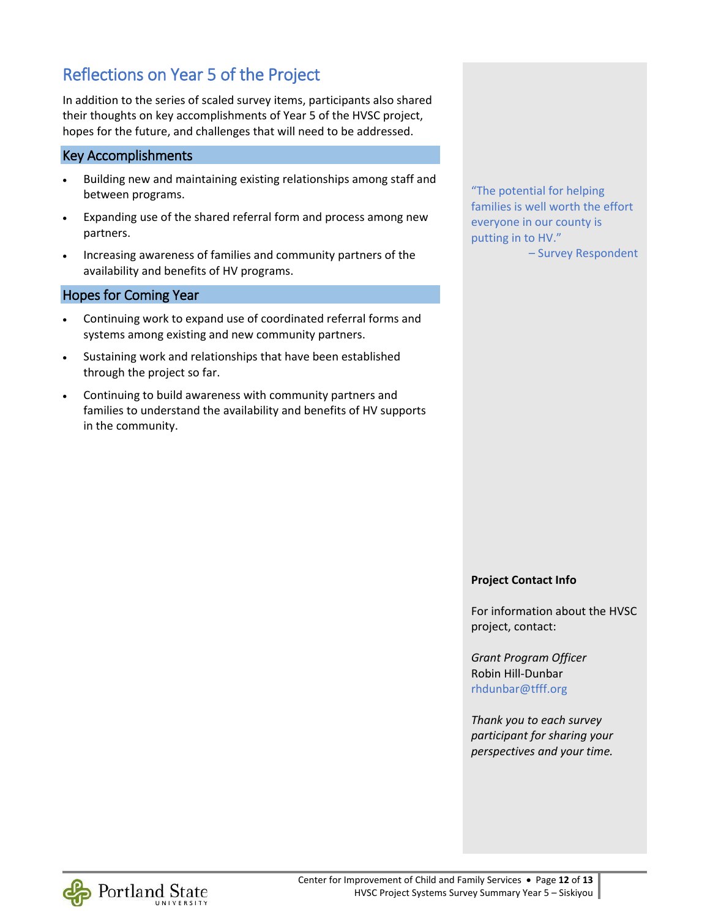# Reflections on Year 5 of the Project

In addition to the series of scaled survey items, participants also shared their thoughts on key accomplishments of Year 5 of the HVSC project, hopes for the future, and challenges that will need to be addressed.

#### Key Accomplishments

- Building new and maintaining existing relationships among staff and between programs.
- Expanding use of the shared referral form and process among new partners.
- Increasing awareness of families and community partners of the availability and benefits of HV programs.

#### Hopes for Coming Year

- Continuing work to expand use of coordinated referral forms and systems among existing and new community partners.
- Sustaining work and relationships that have been established through the project so far.
- Continuing to build awareness with community partners and families to understand the availability and benefits of HV supports in the community.

"The potential for helping families is well worth the effort everyone in our county is putting in to HV."

– Survey Respondent

#### **Project Contact Info**

For information about the HVSC project, contact:

*Grant Program Officer* Robin Hill-Dunbar [rhdunbar@tfff.org](mailto:rhdunbar@tfff.org)

*Thank you to each survey participant for sharing your perspectives and your time.*